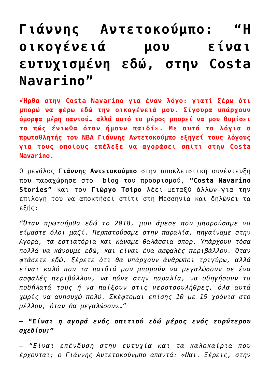## **[Γιάννης Αντετοκούμπο: "Η](https://taairetika.gr/%ce%b3%ce%b9%ce%ac%ce%bd%ce%bd%ce%b7%cf%82-%ce%b1%ce%bd%cf%84%ce%b5%cf%84%ce%bf%ce%ba%ce%bf%cf%8d%ce%bc%cf%80%ce%bf-%ce%b7-%ce%bf%ce%b9%ce%ba%ce%bf%ce%b3%ce%ad%ce%bd%ce%b5%ce%b9%ce%ac-%ce%bc%ce%bf/) [οικογένειά μου είναι](https://taairetika.gr/%ce%b3%ce%b9%ce%ac%ce%bd%ce%bd%ce%b7%cf%82-%ce%b1%ce%bd%cf%84%ce%b5%cf%84%ce%bf%ce%ba%ce%bf%cf%8d%ce%bc%cf%80%ce%bf-%ce%b7-%ce%bf%ce%b9%ce%ba%ce%bf%ce%b3%ce%ad%ce%bd%ce%b5%ce%b9%ce%ac-%ce%bc%ce%bf/) [ευτυχισμένη εδώ, στην Costa](https://taairetika.gr/%ce%b3%ce%b9%ce%ac%ce%bd%ce%bd%ce%b7%cf%82-%ce%b1%ce%bd%cf%84%ce%b5%cf%84%ce%bf%ce%ba%ce%bf%cf%8d%ce%bc%cf%80%ce%bf-%ce%b7-%ce%bf%ce%b9%ce%ba%ce%bf%ce%b3%ce%ad%ce%bd%ce%b5%ce%b9%ce%ac-%ce%bc%ce%bf/) [Navarino"](https://taairetika.gr/%ce%b3%ce%b9%ce%ac%ce%bd%ce%bd%ce%b7%cf%82-%ce%b1%ce%bd%cf%84%ce%b5%cf%84%ce%bf%ce%ba%ce%bf%cf%8d%ce%bc%cf%80%ce%bf-%ce%b7-%ce%bf%ce%b9%ce%ba%ce%bf%ce%b3%ce%ad%ce%bd%ce%b5%ce%b9%ce%ac-%ce%bc%ce%bf/)**

**«Ήρθα στην Costa Navarino για έναν λόγο: γιατί ξέρω ότι μπορώ να φέρω εδώ την οικογένειά μου. Σίγουρα υπάρχουν όμορφα μέρη παντού… αλλά αυτό το μέρος μπορεί να μου θυμίσει το πώς ένιωθα όταν ήμουν παιδί». Με αυτά τα λόγια ο πρωταθλητής του NBA Γιάννης Αντετοκούμπο εξηγεί τους λόγους για τους οποίους επέλεξε να αγοράσει σπίτι στην Costa Navarino.**

O μεγάλος **Γιάννης Αντετοκούμπο** στην αποκλειστική συνέντευξη που παραχώρησε στο blog του προορισμού, **"Costa Navarino Stories"** και τον **Γιώργο Τσίρο** λέει-μεταξύ άλλων-για την επιλογή του να αποκτήσει σπίτι στη Μεσσηνία και δηλώνει τα εξής:

*"Όταν πρωτοήρθα εδώ το 2018, μου άρεσε που μπορούσαμε να είμαστε όλοι μαζί. Περπατούσαμε στην παραλία, πηγαίναμε στην Αγορά, τα εστιατόρια και κάναμε θαλάσσια σπορ. Υπάρχουν τόσα πολλά να κάνουμε εδώ, και είναι ένα ασφαλές περιβάλλον. Όταν φτάσετε εδώ, ξέρετε ότι θα υπάρχουν άνθρωποι τριγύρω, αλλά είναι καλό που τα παιδιά μου μπορούν να μεγαλώσουν σε ένα ασφαλές περιβάλλον, να πάνε στην παραλία, να οδηγήσουν τα ποδήλατά τους ή να παίξουν στις νεροτσουλήθρες, όλα αυτά χωρίς να ανησυχώ πολύ. Σκέφτομαι επίσης 10 με 15 χρόνια στο μέλλον, όταν θα μεγαλώσουν…"*

## **– "***Είναι η αγορά ενός σπιτιού εδώ μέρος ενός ευρύτερου σχεδίου;"*

– *"Είναι επένδυση στην ευτυχία και τα καλοκαίρια που έρχονται; ο Γιάννης Αντετοκούνμπο απαντά: «Ναι. Ξέρεις, στην*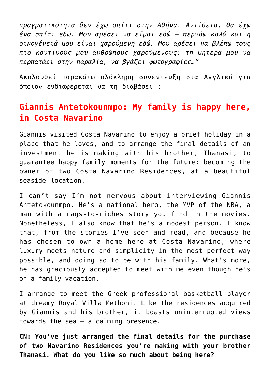*πραγματικότητα δεν έχω σπίτι στην Αθήνα. Αντίθετα, θα έχω ένα σπίτι εδώ. Μου αρέσει να είμαι εδώ – περνάω καλά και η οικογένειά μου είναι χαρούμενη εδώ. Μου αρέσει να βλέπω τους πιο κοντινούς μου ανθρώπους χαρούμενους: τη μητέρα μου να περπατάει στην παραλία, να βγάζει φωτογραφίες…"*

Ακολουθεί παρακάτω ολόκληρη συνέντευξη στα Αγγλικά για όποιον ενδιαφέρεται να τη διαβάσει :

## **Giannis Antetokounmpo: My family is happy here, in Costa Navarino**

Giannis visited Costa Navarino to enjoy a brief holiday in a place that he loves, and to arrange the final details of an investment he is making with his brother, Thanasi, to guarantee happy family moments for the future: becoming the owner of two Costa Navarino Residences, at a beautiful seaside location.

I can't say I'm not nervous about interviewing Giannis Antetokounmpo. He's a national hero, the MVP of the NBA, a man with a rags-to-riches story you find in the movies. Nonetheless, I also know that he's a modest person. I know that, from the stories I've seen and read, and because he has chosen to own a home here at Costa Navarino, where luxury meets nature and simplicity in the most perfect way possible, and doing so to be with his family. What's more, he has graciously accepted to meet with me even though he's on a family vacation.

I arrange to meet the Greek professional basketball player at dreamy Royal Villa Methoni. Like the residences acquired by Giannis and his brother, it boasts uninterrupted views towards the sea – a calming presence.

**CN: You've just arranged the final details for the purchase of two Navarino Residences you're making with your brother Thanasi. What do you like so much about being here?**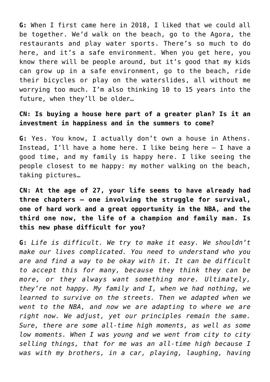**G:** When I first came here in 2018, I liked that we could all be together. We'd walk on the beach, go to the Agora, the restaurants and play water sports. There's so much to do here, and it's a safe environment. When you get here, you know there will be people around, but it's good that my kids can grow up in a safe environment, go to the beach, ride their bicycles or play on the waterslides, all without me worrying too much. I'm also thinking 10 to 15 years into the future, when they'll be older…

## **CN: Is buying a house here part of a greater plan? Is it an investment in happiness and in the summers to come?**

**G:** Yes. You know, I actually don't own a house in Athens. Instead, I'll have a home here. I like being here – I have a good time, and my family is happy here. I like seeing the people closest to me happy: my mother walking on the beach, taking pictures…

**CN: At the age of 27, your life seems to have already had three chapters – one involving the struggle for survival, one of hard work and a great opportunity in the NBA, and the third one now, the life of a champion and family man. Is this new phase difficult for you?**

**G:** *Life is difficult. We try to make it easy. We shouldn't make our lives complicated. You need to understand who you are and find a way to be okay with it. It can be difficult to accept this for many, because they think they can be more, or they always want something more. Ultimately, they're not happy. My family and I, when we had nothing, we learned to survive on the streets. Then we adapted when we went to the NBA, and now we are adapting to where we are right now. We adjust, yet our principles remain the same. Sure, there are some all-time high moments, as well as some low moments. When I was young and we went from city to city selling things, that for me was an all-time high because I was with my brothers, in a car, playing, laughing, having*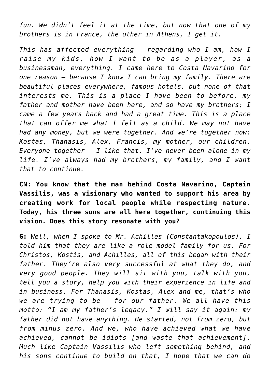*fun. We didn't feel it at the time, but now that one of my brothers is in France, the other in Athens, I get it.*

*This has affected everything – regarding who I am, how I raise my kids, how I want to be as a player, as a businessman, everything. I came here to Costa Navarino for one reason – because I know I can bring my family. There are beautiful places everywhere, famous hotels, but none of that interests me. This is a place I have been to before, my father and mother have been here, and so have my brothers; I came a few years back and had a great time. This is a place that can offer me what I felt as a child. We may not have had any money, but we were together. And we're together now: Kostas, Thanasis, Alex, Francis, my mother, our children. Everyone together – I like that. I've never been alone in my life. I've always had my brothers, my family, and I want that to continue.*

**CN: You know that the man behind Costa Navarino, Captain Vassilis, was a visionary who wanted to support his area by creating work for local people while respecting nature. Today, his three sons are all here together, continuing this vision. Does this story resonate with you?**

**G:** *Well, when I spoke to Mr. Achilles (Constantakopoulos), I told him that they are like a role model family for us. For Christos, Kostis, and Achilles, all of this began with their father. They're also very successful at what they do, and very good people. They will sit with you, talk with you, tell you a story, help you with their experience in life and in business. For Thanasis, Kostas, Alex and me, that's who we are trying to be – for our father. We all have this motto: "I am my father's legacy." I will say it again: my father did not have anything. He started, not from zero, but from minus zero. And we, who have achieved what we have achieved, cannot be idiots [and waste that achievement]. Much like Captain Vassilis who left something behind, and his sons continue to build on that, I hope that we can do*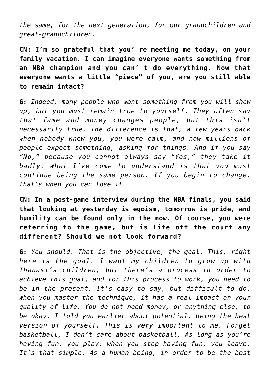*the same, for the next generation, for our grandchildren and great-grandchildren.*

**CN: I'm so grateful that you' re meeting me today, on your family vacation. I can imagine everyone wants something from an NBA champion and you can' t do everything. Now that everyone wants a little "piece" of you, are you still able to remain intact?**

**G:** *Indeed, many people who want something from you will show up, but you must remain true to yourself. They often say that fame and money changes people, but this isn't necessarily true. The difference is that, a few years back when nobody knew you, you were calm, and now millions of people expect something, asking for things. And if you say "No," because you cannot always say "Yes," they take it badly. What I've come to understand is that you must continue being the same person. If you begin to change, that's when you can lose it.*

**CN: In a post-game interview during the NBA finals, you said that looking at yesterday is egoism, tomorrow is pride, and humility can be found only in the now. Of course, you were referring to the game, but is life off the court any different? Should we not look forward?**

**G:** *You should. That is the objective, the goal. This, right here is the goal. I want my children to grow up with Thanasi's children, but there's a process in order to achieve this goal, and for this process to work, you need to be in the present. It's easy to say, but difficult to do. When you master the technique, it has a real impact on your quality of life. You do not need money, or anything else, to be okay. I told you earlier about potential, being the best version of yourself. This is very important to me. Forget basketball, I don't care about basketball. As long as you're having fun, you play; when you stop having fun, you leave. It's that simple. Αs a human being, in order to be the best*